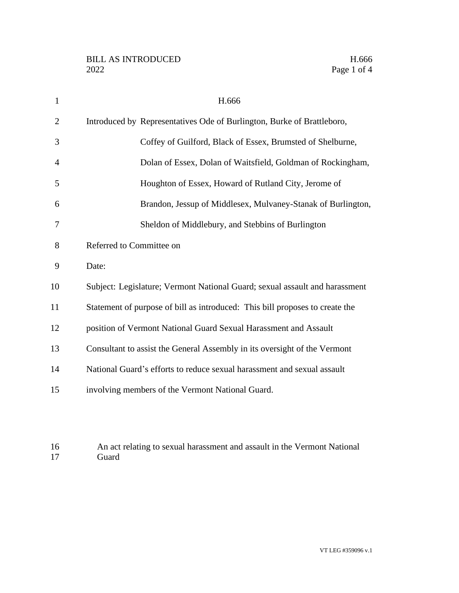| $\mathbf{1}$   | H.666                                                                        |
|----------------|------------------------------------------------------------------------------|
| $\overline{2}$ | Introduced by Representatives Ode of Burlington, Burke of Brattleboro,       |
| 3              | Coffey of Guilford, Black of Essex, Brumsted of Shelburne,                   |
| 4              | Dolan of Essex, Dolan of Waitsfield, Goldman of Rockingham,                  |
| 5              | Houghton of Essex, Howard of Rutland City, Jerome of                         |
| 6              | Brandon, Jessup of Middlesex, Mulvaney-Stanak of Burlington,                 |
| 7              | Sheldon of Middlebury, and Stebbins of Burlington                            |
| 8              | Referred to Committee on                                                     |
| 9              | Date:                                                                        |
| 10             | Subject: Legislature; Vermont National Guard; sexual assault and harassment  |
| 11             | Statement of purpose of bill as introduced: This bill proposes to create the |
| 12             | position of Vermont National Guard Sexual Harassment and Assault             |
| 13             | Consultant to assist the General Assembly in its oversight of the Vermont    |
| 14             | National Guard's efforts to reduce sexual harassment and sexual assault      |
| 15             | involving members of the Vermont National Guard.                             |
|                |                                                                              |

## 16 An act relating to sexual harassment and assault in the Vermont National 17 Guard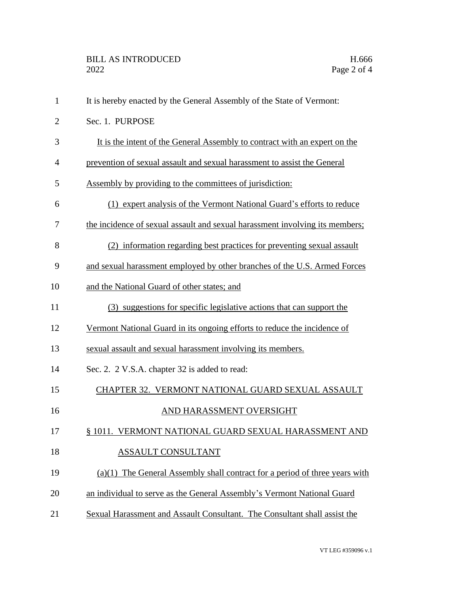| $\mathbf{1}$   | It is hereby enacted by the General Assembly of the State of Vermont:         |
|----------------|-------------------------------------------------------------------------------|
| $\overline{2}$ | Sec. 1. PURPOSE                                                               |
| 3              | It is the intent of the General Assembly to contract with an expert on the    |
| $\overline{4}$ | prevention of sexual assault and sexual harassment to assist the General      |
| 5              | Assembly by providing to the committees of jurisdiction:                      |
| 6              | expert analysis of the Vermont National Guard's efforts to reduce<br>(1)      |
| 7              | the incidence of sexual assault and sexual harassment involving its members;  |
| 8              | (2) information regarding best practices for preventing sexual assault        |
| 9              | and sexual harassment employed by other branches of the U.S. Armed Forces     |
| 10             | and the National Guard of other states; and                                   |
| 11             | (3) suggestions for specific legislative actions that can support the         |
| 12             | Vermont National Guard in its ongoing efforts to reduce the incidence of      |
| 13             | sexual assault and sexual harassment involving its members.                   |
| 14             | Sec. 2. 2 V.S.A. chapter 32 is added to read:                                 |
| 15             | CHAPTER 32. VERMONT NATIONAL GUARD SEXUAL ASSAULT                             |
| 16             | AND HARASSMENT OVERSIGHT                                                      |
| 17             | § 1011. VERMONT NATIONAL GUARD SEXUAL HARASSMENT AND                          |
| 18             | ASSAULT CONSULTANT                                                            |
| 19             | $(a)(1)$ The General Assembly shall contract for a period of three years with |
| 20             | an individual to serve as the General Assembly's Vermont National Guard       |
| 21             | Sexual Harassment and Assault Consultant. The Consultant shall assist the     |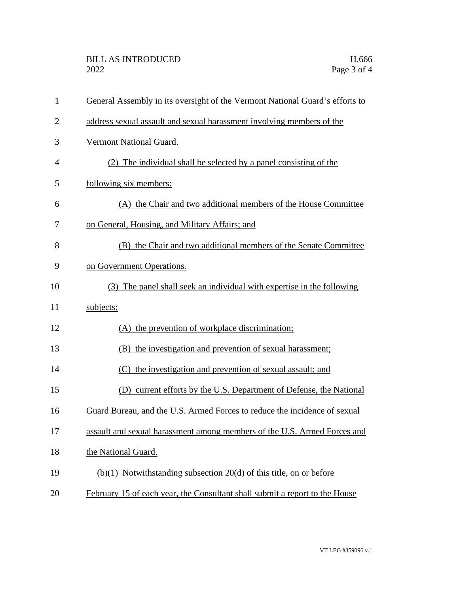| $\mathbf{1}$   | General Assembly in its oversight of the Vermont National Guard's efforts to |
|----------------|------------------------------------------------------------------------------|
| $\overline{2}$ | address sexual assault and sexual harassment involving members of the        |
| 3              | Vermont National Guard.                                                      |
| 4              | (2) The individual shall be selected by a panel consisting of the            |
| 5              | following six members:                                                       |
| 6              | (A) the Chair and two additional members of the House Committee              |
| 7              | on General, Housing, and Military Affairs; and                               |
| 8              | (B) the Chair and two additional members of the Senate Committee             |
| 9              | on Government Operations.                                                    |
| 10             | (3) The panel shall seek an individual with expertise in the following       |
| 11             | subjects:                                                                    |
| 12             | (A) the prevention of workplace discrimination;                              |
| 13             | (B) the investigation and prevention of sexual harassment;                   |
| 14             | (C) the investigation and prevention of sexual assault; and                  |
| 15             | (D) current efforts by the U.S. Department of Defense, the National          |
| 16             | Guard Bureau, and the U.S. Armed Forces to reduce the incidence of sexual    |
| 17             | assault and sexual harassment among members of the U.S. Armed Forces and     |
| 18             | the National Guard.                                                          |
| 19             | $(b)(1)$ Notwithstanding subsection 20(d) of this title, on or before        |
| 20             | February 15 of each year, the Consultant shall submit a report to the House  |